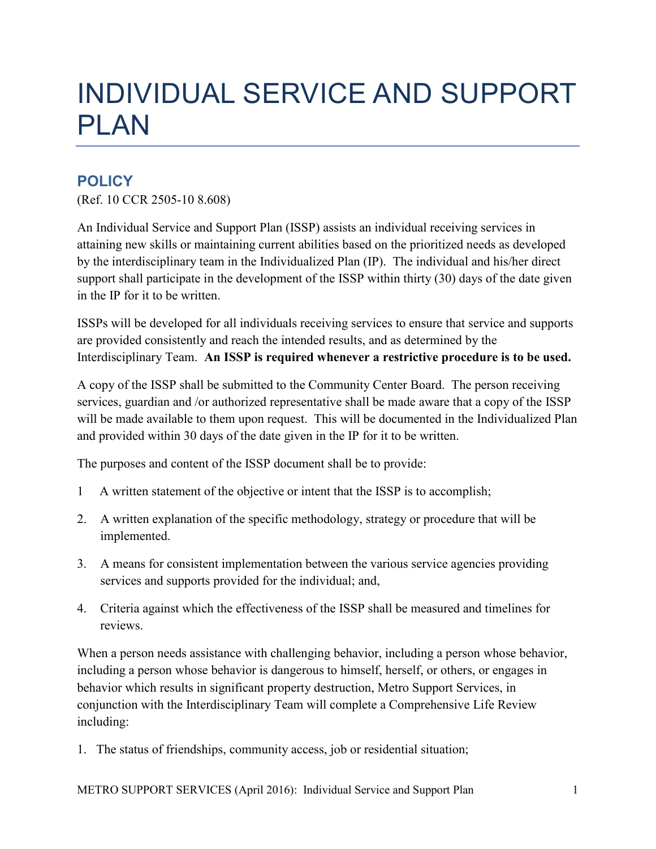## INDIVIDUAL SERVICE AND SUPPORT PLAN

## **POLICY**

(Ref. 10 CCR 2505-10 8.608)

An Individual Service and Support Plan (ISSP) assists an individual receiving services in attaining new skills or maintaining current abilities based on the prioritized needs as developed by the interdisciplinary team in the Individualized Plan (IP). The individual and his/her direct support shall participate in the development of the ISSP within thirty (30) days of the date given in the IP for it to be written.

ISSPs will be developed for all individuals receiving services to ensure that service and supports are provided consistently and reach the intended results, and as determined by the Interdisciplinary Team. **An ISSP is required whenever a restrictive procedure is to be used.** 

A copy of the ISSP shall be submitted to the Community Center Board. The person receiving services, guardian and /or authorized representative shall be made aware that a copy of the ISSP will be made available to them upon request. This will be documented in the Individualized Plan and provided within 30 days of the date given in the IP for it to be written.

The purposes and content of the ISSP document shall be to provide:

- 1 A written statement of the objective or intent that the ISSP is to accomplish;
- 2. A written explanation of the specific methodology, strategy or procedure that will be implemented.
- 3. A means for consistent implementation between the various service agencies providing services and supports provided for the individual; and,
- 4. Criteria against which the effectiveness of the ISSP shall be measured and timelines for reviews.

When a person needs assistance with challenging behavior, including a person whose behavior, including a person whose behavior is dangerous to himself, herself, or others, or engages in behavior which results in significant property destruction, Metro Support Services, in conjunction with the Interdisciplinary Team will complete a Comprehensive Life Review including:

1. The status of friendships, community access, job or residential situation;